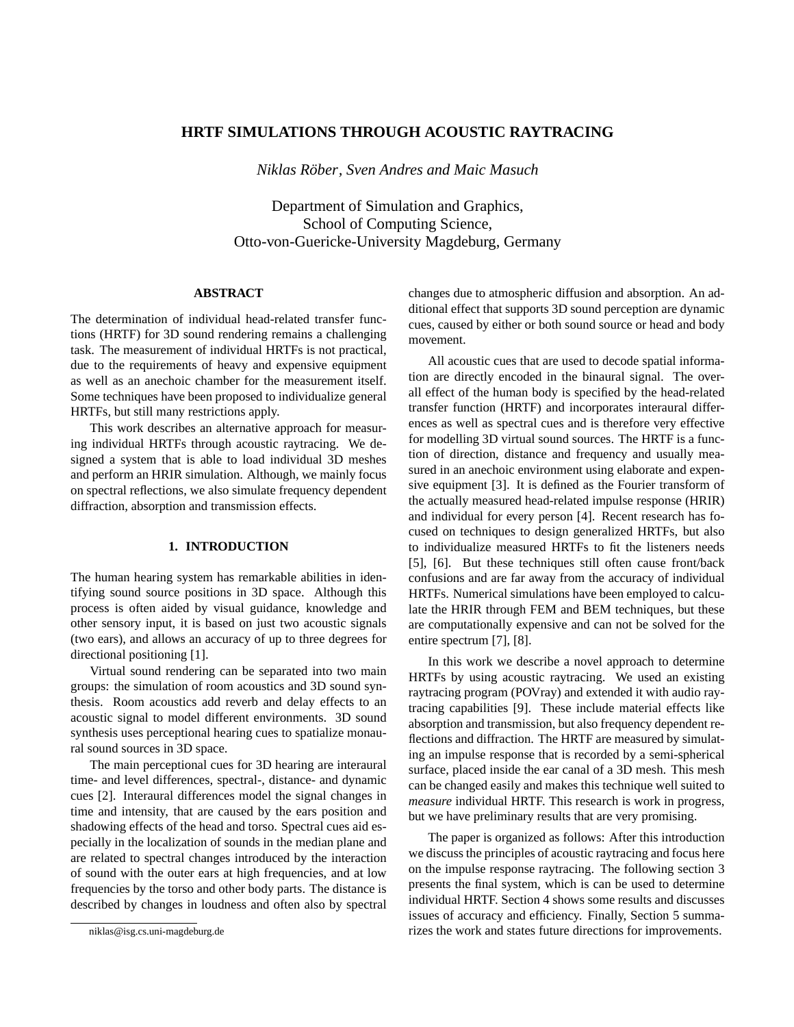# **HRTF SIMULATIONS THROUGH ACOUSTIC RAYTRACING**

*Niklas Rober, Sven Andres and Maic Masuch ¨*

Department of Simulation and Graphics, School of Computing Science, Otto-von-Guericke-University Magdeburg, Germany

# **ABSTRACT**

The determination of individual head-related transfer functions (HRTF) for 3D sound rendering remains a challenging task. The measurement of individual HRTFs is not practical, due to the requirements of heavy and expensive equipment as well as an anechoic chamber for the measurement itself. Some techniques have been proposed to individualize general HRTFs, but still many restrictions apply.

This work describes an alternative approach for measuring individual HRTFs through acoustic raytracing. We designed a system that is able to load individual 3D meshes and perform an HRIR simulation. Although, we mainly focus on spectral reflections, we also simulate frequency dependent diffraction, absorption and transmission effects.

## **1. INTRODUCTION**

The human hearing system has remarkable abilities in identifying sound source positions in 3D space. Although this process is often aided by visual guidance, knowledge and other sensory input, it is based on just two acoustic signals (two ears), and allows an accuracy of up to three degrees for directional positioning [1].

Virtual sound rendering can be separated into two main groups: the simulation of room acoustics and 3D sound synthesis. Room acoustics add reverb and delay effects to an acoustic signal to model different environments. 3D sound synthesis uses perceptional hearing cues to spatialize monaural sound sources in 3D space.

The main perceptional cues for 3D hearing are interaural time- and level differences, spectral-, distance- and dynamic cues [2]. Interaural differences model the signal changes in time and intensity, that are caused by the ears position and shadowing effects of the head and torso. Spectral cues aid especially in the localization of sounds in the median plane and are related to spectral changes introduced by the interaction of sound with the outer ears at high frequencies, and at low frequencies by the torso and other body parts. The distance is described by changes in loudness and often also by spectral

changes due to atmospheric diffusion and absorption. An additional effect that supports 3D sound perception are dynamic cues, caused by either or both sound source or head and body movement.

All acoustic cues that are used to decode spatial information are directly encoded in the binaural signal. The overall effect of the human body is specified by the head-related transfer function (HRTF) and incorporates interaural differences as well as spectral cues and is therefore very effective for modelling 3D virtual sound sources. The HRTF is a function of direction, distance and frequency and usually measured in an anechoic environment using elaborate and expensive equipment [3]. It is defined as the Fourier transform of the actually measured head-related impulse response (HRIR) and individual for every person [4]. Recent research has focused on techniques to design generalized HRTFs, but also to individualize measured HRTFs to fit the listeners needs [5], [6]. But these techniques still often cause front/back confusions and are far away from the accuracy of individual HRTFs. Numerical simulations have been employed to calculate the HRIR through FEM and BEM techniques, but these are computationally expensive and can not be solved for the entire spectrum [7], [8].

In this work we describe a novel approach to determine HRTFs by using acoustic raytracing. We used an existing raytracing program (POVray) and extended it with audio raytracing capabilities [9]. These include material effects like absorption and transmission, but also frequency dependent reflections and diffraction. The HRTF are measured by simulating an impulse response that is recorded by a semi-spherical surface, placed inside the ear canal of a 3D mesh. This mesh can be changed easily and makes this technique well suited to *measure* individual HRTF. This research is work in progress, but we have preliminary results that are very promising.

The paper is organized as follows: After this introduction we discuss the principles of acoustic raytracing and focus here on the impulse response raytracing. The following section 3 presents the final system, which is can be used to determine individual HRTF. Section 4 shows some results and discusses issues of accuracy and efficiency. Finally, Section 5 summarizes the work and states future directions for improvements.

niklas@isg.cs.uni-magdeburg.de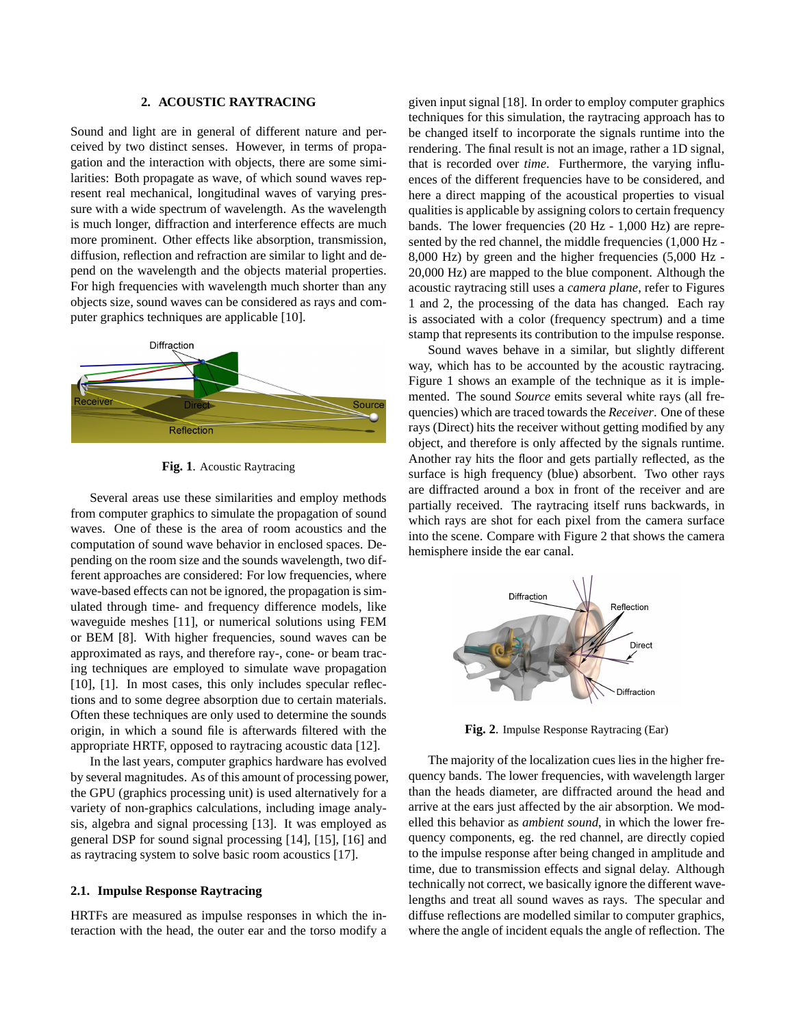### **2. ACOUSTIC RAYTRACING**

Sound and light are in general of different nature and perceived by two distinct senses. However, in terms of propagation and the interaction with objects, there are some similarities: Both propagate as wave, of which sound waves represent real mechanical, longitudinal waves of varying pressure with a wide spectrum of wavelength. As the wavelength is much longer, diffraction and interference effects are much more prominent. Other effects like absorption, transmission, diffusion, reflection and refraction are similar to light and depend on the wavelength and the objects material properties. For high frequencies with wavelength much shorter than any objects size, sound waves can be considered as rays and computer graphics techniques are applicable [10].



**Fig. 1**. Acoustic Raytracing

Several areas use these similarities and employ methods from computer graphics to simulate the propagation of sound waves. One of these is the area of room acoustics and the computation of sound wave behavior in enclosed spaces. Depending on the room size and the sounds wavelength, two different approaches are considered: For low frequencies, where wave-based effects can not be ignored, the propagation is simulated through time- and frequency difference models, like waveguide meshes [11], or numerical solutions using FEM or BEM [8]. With higher frequencies, sound waves can be approximated as rays, and therefore ray-, cone- or beam tracing techniques are employed to simulate wave propagation [10], [1]. In most cases, this only includes specular reflections and to some degree absorption due to certain materials. Often these techniques are only used to determine the sounds origin, in which a sound file is afterwards filtered with the appropriate HRTF, opposed to raytracing acoustic data [12].

In the last years, computer graphics hardware has evolved by several magnitudes. As of this amount of processing power, the GPU (graphics processing unit) is used alternatively for a variety of non-graphics calculations, including image analysis, algebra and signal processing [13]. It was employed as general DSP for sound signal processing [14], [15], [16] and as raytracing system to solve basic room acoustics [17].

## **2.1. Impulse Response Raytracing**

HRTFs are measured as impulse responses in which the interaction with the head, the outer ear and the torso modify a given input signal [18]. In order to employ computer graphics techniques for this simulation, the raytracing approach has to be changed itself to incorporate the signals runtime into the rendering. The final result is not an image, rather a 1D signal, that is recorded over *time*. Furthermore, the varying influences of the different frequencies have to be considered, and here a direct mapping of the acoustical properties to visual qualities is applicable by assigning colors to certain frequency bands. The lower frequencies (20 Hz - 1,000 Hz) are represented by the red channel, the middle frequencies (1,000 Hz - 8,000 Hz) by green and the higher frequencies (5,000 Hz - 20,000 Hz) are mapped to the blue component. Although the acoustic raytracing still uses a *camera plane*, refer to Figures 1 and 2, the processing of the data has changed. Each ray is associated with a color (frequency spectrum) and a time stamp that represents its contribution to the impulse response.

Sound waves behave in a similar, but slightly different way, which has to be accounted by the acoustic raytracing. Figure 1 shows an example of the technique as it is implemented. The sound *Source* emits several white rays (all frequencies) which are traced towards the *Receiver*. One of these rays (Direct) hits the receiver without getting modified by any object, and therefore is only affected by the signals runtime. Another ray hits the floor and gets partially reflected, as the surface is high frequency (blue) absorbent. Two other rays are diffracted around a box in front of the receiver and are partially received. The raytracing itself runs backwards, in which rays are shot for each pixel from the camera surface into the scene. Compare with Figure 2 that shows the camera hemisphere inside the ear canal.



**Fig. 2**. Impulse Response Raytracing (Ear)

The majority of the localization cues lies in the higher frequency bands. The lower frequencies, with wavelength larger than the heads diameter, are diffracted around the head and arrive at the ears just affected by the air absorption. We modelled this behavior as *ambient sound*, in which the lower frequency components, eg. the red channel, are directly copied to the impulse response after being changed in amplitude and time, due to transmission effects and signal delay. Although technically not correct, we basically ignore the different wavelengths and treat all sound waves as rays. The specular and diffuse reflections are modelled similar to computer graphics, where the angle of incident equals the angle of reflection. The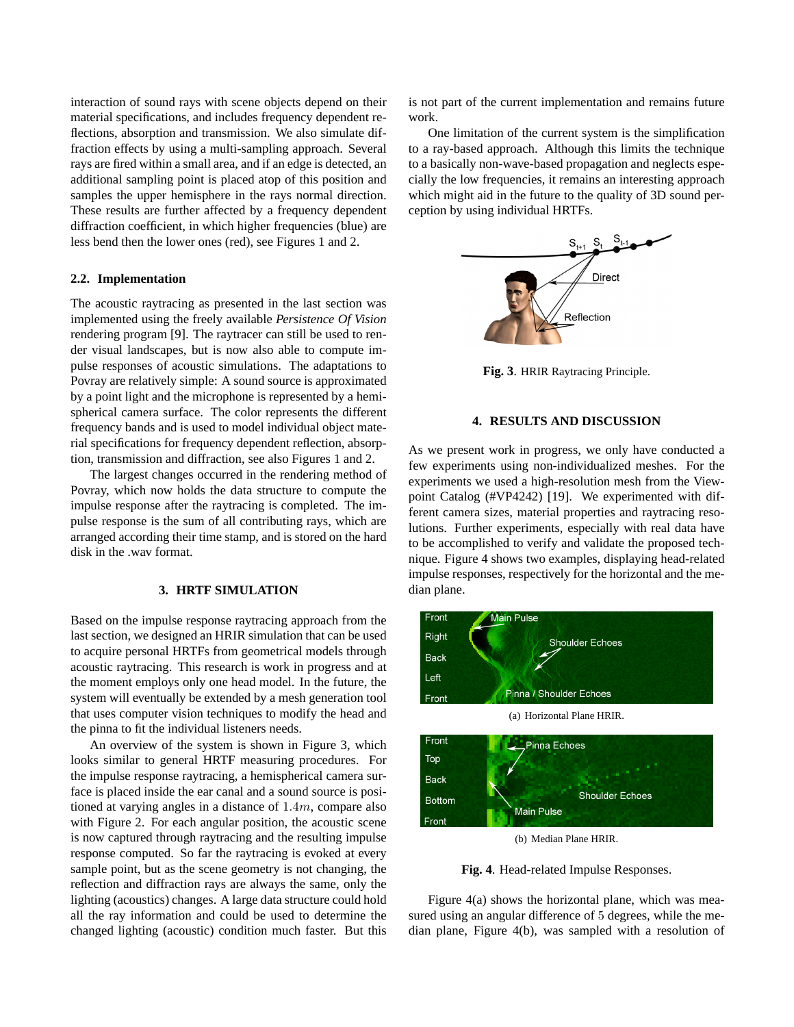interaction of sound rays with scene objects depend on their material specifications, and includes frequency dependent reflections, absorption and transmission. We also simulate diffraction effects by using a multi-sampling approach. Several rays are fired within a small area, and if an edge is detected, an additional sampling point is placed atop of this position and samples the upper hemisphere in the rays normal direction. These results are further affected by a frequency dependent diffraction coefficient, in which higher frequencies (blue) are less bend then the lower ones (red), see Figures 1 and 2.

#### **2.2. Implementation**

The acoustic raytracing as presented in the last section was implemented using the freely available *Persistence Of Vision* rendering program [9]. The raytracer can still be used to render visual landscapes, but is now also able to compute impulse responses of acoustic simulations. The adaptations to Povray are relatively simple: A sound source is approximated by a point light and the microphone is represented by a hemispherical camera surface. The color represents the different frequency bands and is used to model individual object material specifications for frequency dependent reflection, absorption, transmission and diffraction, see also Figures 1 and 2.

The largest changes occurred in the rendering method of Povray, which now holds the data structure to compute the impulse response after the raytracing is completed. The impulse response is the sum of all contributing rays, which are arranged according their time stamp, and is stored on the hard disk in the .wav format.

## **3. HRTF SIMULATION**

Based on the impulse response raytracing approach from the last section, we designed an HRIR simulation that can be used to acquire personal HRTFs from geometrical models through acoustic raytracing. This research is work in progress and at the moment employs only one head model. In the future, the system will eventually be extended by a mesh generation tool that uses computer vision techniques to modify the head and the pinna to fit the individual listeners needs.

An overview of the system is shown in Figure 3, which looks similar to general HRTF measuring procedures. For the impulse response raytracing, a hemispherical camera surface is placed inside the ear canal and a sound source is positioned at varying angles in a distance of 1.4m, compare also with Figure 2. For each angular position, the acoustic scene is now captured through raytracing and the resulting impulse response computed. So far the raytracing is evoked at every sample point, but as the scene geometry is not changing, the reflection and diffraction rays are always the same, only the lighting (acoustics) changes. A large data structure could hold all the ray information and could be used to determine the changed lighting (acoustic) condition much faster. But this is not part of the current implementation and remains future work.

One limitation of the current system is the simplification to a ray-based approach. Although this limits the technique to a basically non-wave-based propagation and neglects especially the low frequencies, it remains an interesting approach which might aid in the future to the quality of 3D sound perception by using individual HRTFs.



**Fig. 3**. HRIR Raytracing Principle.

## **4. RESULTS AND DISCUSSION**

As we present work in progress, we only have conducted a few experiments using non-individualized meshes. For the experiments we used a high-resolution mesh from the Viewpoint Catalog (#VP4242) [19]. We experimented with different camera sizes, material properties and raytracing resolutions. Further experiments, especially with real data have to be accomplished to verify and validate the proposed technique. Figure 4 shows two examples, displaying head-related impulse responses, respectively for the horizontal and the median plane.





(b) Median Plane HRIR.

**Fig. 4**. Head-related Impulse Responses.

Figure 4(a) shows the horizontal plane, which was measured using an angular difference of 5 degrees, while the median plane, Figure 4(b), was sampled with a resolution of